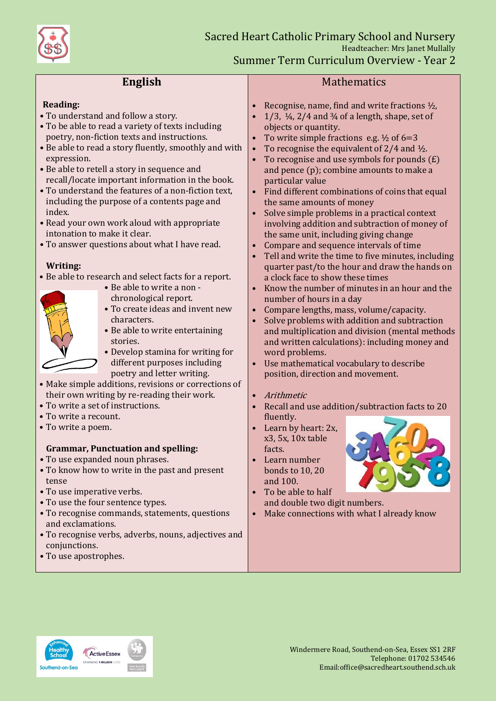

# **English**

#### **Reading:**

- To understand and follow a story.
- To be able to read a variety of texts including poetry, non-fiction texts and instructions.
- Be able to read a story fluently, smoothly and with expression.
- Be able to retell a story in sequence and recall/locate important information in the book.
- To understand the features of a non-fiction text, including the purpose of a contents page and index.
- Read your own work aloud with appropriate intonation to make it clear.
- To answer questions about what I have read.

### **Writing:**

• Be able to research and select facts for a report.

- 
- Be able to write a non chronological report. • To create ideas and invent new
- characters.
- Be able to write entertaining stories.
- Develop stamina for writing for different purposes including poetry and letter writing.
- Make simple additions, revisions or corrections of their own writing by re-reading their work.
- To write a set of instructions.
- To write a recount.
- To write a poem.

## **Grammar, Punctuation and spelling:**

- To use expanded noun phrases.
- To know how to write in the past and present tense
- To use imperative verbs.
- To use the four sentence types.
- To recognise commands, statements, questions and exclamations.
- To recognise verbs, adverbs, nouns, adjectives and conjunctions.
- To use apostrophes.

### **Mathematics**

- Recognise, name, find and write fractions  $\frac{1}{2}$ ,
- 1/3,  $\frac{1}{4}$ , 2/4 and  $\frac{3}{4}$  of a length, shape, set of objects or quantity.
- To write simple fractions e.g.  $\frac{1}{2}$  of 6=3
- To recognise the equivalent of  $2/4$  and  $\frac{1}{2}$ .
- To recognise and use symbols for pounds  $(E)$ and pence (p); combine amounts to make a particular value
- Find different combinations of coins that equal the same amounts of money
- Solve simple problems in a practical context involving addition and subtraction of money of the same unit, including giving change
- Compare and sequence intervals of time
- Tell and write the time to five minutes, including quarter past/to the hour and draw the hands on a clock face to show these times
- Know the number of minutes in an hour and the number of hours in a day
- Compare lengths, mass, volume/capacity.
- Solve problems with addition and subtraction and multiplication and division (mental methods and written calculations): including money and word problems.
- Use mathematical vocabulary to describe position, direction and movement.

### • Arithmetic

- Recall and use addition/subtraction facts to 20 fluently.
- Learn by heart: 2x, x3, 5x, 10x table facts.
- Learn number bonds to 10, 20 and 100.



• To be able to half and double two digit numbers. • Make connections with what I already know



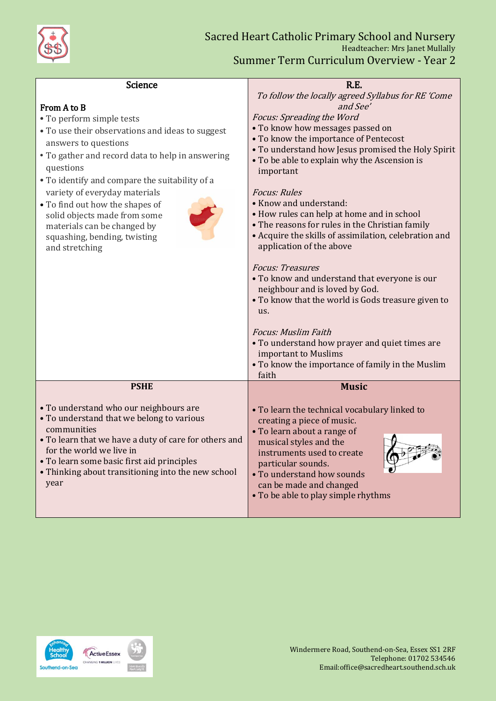

| Science                                                                           | R.E.                                                                                        |
|-----------------------------------------------------------------------------------|---------------------------------------------------------------------------------------------|
|                                                                                   | To follow the locally agreed Syllabus for RE 'Come                                          |
| From A to B                                                                       | and See'                                                                                    |
| • To perform simple tests                                                         | Focus: Spreading the Word                                                                   |
| • To use their observations and ideas to suggest                                  | • To know how messages passed on                                                            |
| answers to questions                                                              | • To know the importance of Pentecost<br>• To understand how Jesus promised the Holy Spirit |
| • To gather and record data to help in answering                                  | • To be able to explain why the Ascension is                                                |
| questions<br>• To identify and compare the suitability of a                       | important                                                                                   |
| variety of everyday materials                                                     | <b>Focus: Rules</b>                                                                         |
| • To find out how the shapes of                                                   | • Know and understand:                                                                      |
| solid objects made from some                                                      | • How rules can help at home and in school                                                  |
| materials can be changed by                                                       | • The reasons for rules in the Christian family                                             |
| squashing, bending, twisting                                                      | • Acquire the skills of assimilation, celebration and<br>application of the above           |
| and stretching                                                                    |                                                                                             |
|                                                                                   | <b>Focus: Treasures</b>                                                                     |
|                                                                                   | • To know and understand that everyone is our                                               |
|                                                                                   | neighbour and is loved by God.<br>• To know that the world is Gods treasure given to        |
|                                                                                   | us.                                                                                         |
|                                                                                   |                                                                                             |
|                                                                                   | <b>Focus: Muslim Faith</b>                                                                  |
|                                                                                   | • To understand how prayer and quiet times are<br>important to Muslims                      |
|                                                                                   | • To know the importance of family in the Muslim                                            |
|                                                                                   | faith                                                                                       |
| <b>PSHE</b>                                                                       | <b>Music</b>                                                                                |
| • To understand who our neighbours are                                            | • To learn the technical vocabulary linked to                                               |
| • To understand that we belong to various                                         | creating a piece of music.                                                                  |
| communities                                                                       | • To learn about a range of                                                                 |
| • To learn that we have a duty of care for others and<br>for the world we live in | musical styles and the                                                                      |
| • To learn some basic first aid principles                                        | instruments used to create<br>particular sounds.                                            |
| • Thinking about transitioning into the new school                                | • To understand how sounds                                                                  |
| year                                                                              | can be made and changed                                                                     |
|                                                                                   | • To be able to play simple rhythms                                                         |